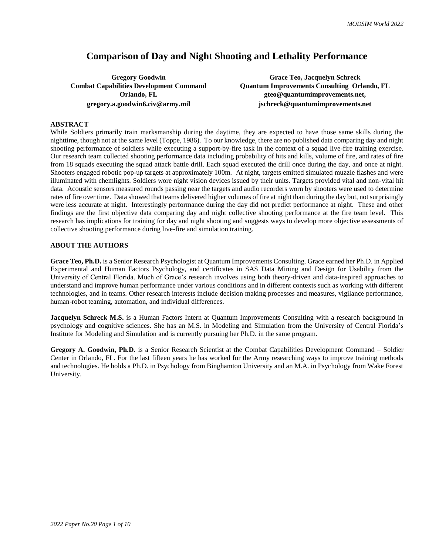# **Comparison of Day and Night Shooting and Lethality Performance**

**Gregory Goodwin Grace Teo, Jacquelyn Schreck Combat Capabilities Development Command Quantum Improvements Consulting Orlando, FL Orlando, FL gteo@quantumimprovements.net, gregory.a.goodwin6.civ@army.mil jschreck@quantumimprovements.net**

# **ABSTRACT**

While Soldiers primarily train marksmanship during the daytime, they are expected to have those same skills during the nighttime, though not at the same level (Toppe, 1986). To our knowledge, there are no published data comparing day and night shooting performance of soldiers while executing a support-by-fire task in the context of a squad live-fire training exercise. Our research team collected shooting performance data including probability of hits and kills, volume of fire, and rates of fire from 18 squads executing the squad attack battle drill. Each squad executed the drill once during the day, and once at night. Shooters engaged robotic pop-up targets at approximately 100m. At night, targets emitted simulated muzzle flashes and were illuminated with chemlights. Soldiers wore night vision devices issued by their units. Targets provided vital and non-vital hit data. Acoustic sensors measured rounds passing near the targets and audio recorders worn by shooters were used to determine rates of fire over time. Data showed that teams delivered higher volumes of fire at night than during the day but, not surprisingly were less accurate at night. Interestingly performance during the day did not predict performance at night. These and other findings are the first objective data comparing day and night collective shooting performance at the fire team level. This research has implications for training for day and night shooting and suggests ways to develop more objective assessments of collective shooting performance during live-fire and simulation training.

# **ABOUT THE AUTHORS**

**Grace Teo, Ph.D.** is a Senior Research Psychologist at Quantum Improvements Consulting. Grace earned her Ph.D. in Applied Experimental and Human Factors Psychology, and certificates in SAS Data Mining and Design for Usability from the University of Central Florida. Much of Grace's research involves using both theory-driven and data-inspired approaches to understand and improve human performance under various conditions and in different contexts such as working with different technologies, and in teams. Other research interests include decision making processes and measures, vigilance performance, human-robot teaming, automation, and individual differences.

**Jacquelyn Schreck M.S.** is a Human Factors Intern at Quantum Improvements Consulting with a research background in psychology and cognitive sciences. She has an M.S. in Modeling and Simulation from the University of Central Florida's Institute for Modeling and Simulation and is currently pursuing her Ph.D. in the same program.

**Gregory A. Goodwin**, **Ph.D**. is a Senior Research Scientist at the Combat Capabilities Development Command – Soldier Center in Orlando, FL. For the last fifteen years he has worked for the Army researching ways to improve training methods and technologies. He holds a Ph.D. in Psychology from Binghamton University and an M.A. in Psychology from Wake Forest University.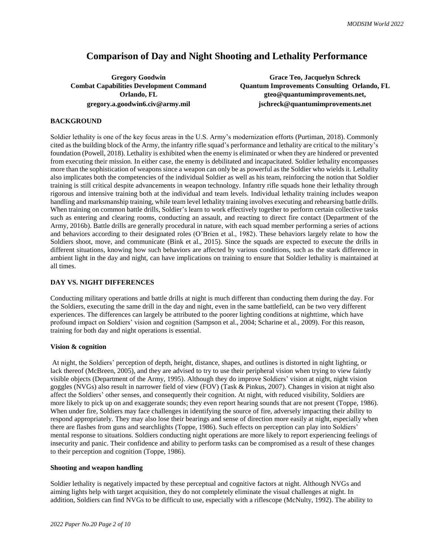# **Comparison of Day and Night Shooting and Lethality Performance**

**Gregory Goodwin Grace Teo, Jacquelyn Schreck Combat Capabilities Development Command Quantum Improvements Consulting Orlando, FL Orlando, FL gteo@quantumimprovements.net, gregory.a.goodwin6.civ@army.mil jschreck@quantumimprovements.net**

# **BACKGROUND**

Soldier lethality is one of the key focus areas in the U.S. Army's modernization efforts (Purtiman, 2018). Commonly cited as the building block of the Army, the infantry rifle squad's performance and lethality are critical to the military's foundation (Powell, 2018). Lethality is exhibited when the enemy is eliminated or when they are hindered or prevented from executing their mission. In either case, the enemy is debilitated and incapacitated. Soldier lethality encompasses more than the sophistication of weapons since a weapon can only be as powerful as the Soldier who wields it. Lethality also implicates both the competencies of the individual Soldier as well as his team, reinforcing the notion that Soldier training is still critical despite advancements in weapon technology. Infantry rifle squads hone their lethality through rigorous and intensive training both at the individual and team levels. Individual lethality training includes weapon handling and marksmanship training, while team level lethality training involves executing and rehearsing battle drills. When training on common battle drills, Soldier's learn to work effectively together to perform certain collective tasks such as entering and clearing rooms, conducting an assault, and reacting to direct fire contact (Department of the Army, 2016b). Battle drills are generally procedural in nature, with each squad member performing a series of actions and behaviors according to their designated roles (O'Brien et al., 1982). These behaviors largely relate to how the Soldiers shoot, move, and communicate (Bink et al., 2015). Since the squads are expected to execute the drills in different situations, knowing how such behaviors are affected by various conditions, such as the stark difference in ambient light in the day and night, can have implications on training to ensure that Soldier lethality is maintained at all times.

## **DAY VS. NIGHT DIFFERENCES**

Conducting military operations and battle drills at night is much different than conducting them during the day. For the Soldiers, executing the same drill in the day and night, even in the same battlefield, can be two very different experiences. The differences can largely be attributed to the poorer lighting conditions at nighttime, which have profound impact on Soldiers' vision and cognition (Sampson et al., 2004; Scharine et al., 2009). For this reason, training for both day and night operations is essential.

## **Vision & cognition**

At night, the Soldiers' perception of depth, height, distance, shapes, and outlines is distorted in night lighting, or lack thereof (McBreen, 2005), and they are advised to try to use their peripheral vision when trying to view faintly visible objects (Department of the Army, 1995). Although they do improve Soldiers' vision at night, night vision goggles (NVGs) also result in narrower field of view (FOV) (Task & Pinkus, 2007). Changes in vision at night also affect the Soldiers' other senses, and consequently their cognition. At night, with reduced visibility, Soldiers are more likely to pick up on and exaggerate sounds; they even report hearing sounds that are not present (Toppe, 1986). When under fire, Soldiers may face challenges in identifying the source of fire, adversely impacting their ability to respond appropriately. They may also lose their bearings and sense of direction more easily at night, especially when there are flashes from guns and searchlights (Toppe, 1986). Such effects on perception can play into Soldiers' mental response to situations. Soldiers conducting night operations are more likely to report experiencing feelings of insecurity and panic. Their confidence and ability to perform tasks can be compromised as a result of these changes to their perception and cognition (Toppe, 1986).

## **Shooting and weapon handling**

Soldier lethality is negatively impacted by these perceptual and cognitive factors at night. Although NVGs and aiming lights help with target acquisition, they do not completely eliminate the visual challenges at night. In addition, Soldiers can find NVGs to be difficult to use, especially with a riflescope (McNulty, 1992). The ability to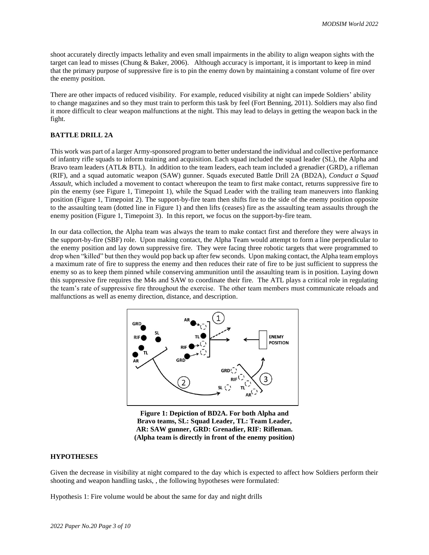shoot accurately directly impacts lethality and even small impairments in the ability to align weapon sights with the target can lead to misses (Chung & Baker, 2006). Although accuracy is important, it is important to keep in mind that the primary purpose of suppressive fire is to pin the enemy down by maintaining a constant volume of fire over the enemy position.

There are other impacts of reduced visibility. For example, reduced visibility at night can impede Soldiers' ability to change magazines and so they must train to perform this task by feel (Fort Benning, 2011). Soldiers may also find it more difficult to clear weapon malfunctions at the night. This may lead to delays in getting the weapon back in the fight.

# **BATTLE DRILL 2A**

This work was part of a larger Army-sponsored program to better understand the individual and collective performance of infantry rifle squads to inform training and acquisition. Each squad included the squad leader (SL), the Alpha and Bravo team leaders (ATL& BTL). In addition to the team leaders, each team included a grenadier (GRD), a rifleman (RIF), and a squad automatic weapon (SAW) gunner. Squads executed Battle Drill 2A (BD2A), *Conduct a Squad Assault*, which included a movement to contact whereupon the team to first make contact, returns suppressive fire to pin the enemy (see [Figure 1,](#page-2-0) Timepoint 1), while the Squad Leader with the trailing team maneuvers into flanking position (Figure 1, Timepoint 2). The support-by-fire team then shifts fire to the side of the enemy position opposite to the assaulting team (dotted line in Figure 1) and then lifts (ceases) fire as the assaulting team assaults through the enemy position (Figure 1, Timepoint 3). In this report, we focus on the support-by-fire team.

In our data collection, the Alpha team was always the team to make contact first and therefore they were always in the support-by-fire (SBF) role. Upon making contact, the Alpha Team would attempt to form a line perpendicular to the enemy position and lay down suppressive fire. They were facing three robotic targets that were programmed to drop when "killed" but then they would pop back up after few seconds. Upon making contact, the Alpha team employs a maximum rate of fire to suppress the enemy and then reduces their rate of fire to be just sufficient to suppress the enemy so as to keep them pinned while conserving ammunition until the assaulting team is in position. Laying down this suppressive fire requires the M4s and SAW to coordinate their fire. The ATL plays a critical role in regulating the team's rate of suppressive fire throughout the exercise. The other team members must communicate reloads and malfunctions as well as enemy direction, distance, and description.



<span id="page-2-0"></span>**Figure 1: Depiction of BD2A. For both Alpha and Bravo teams, SL: Squad Leader, TL: Team Leader, AR: SAW gunner, GRD: Grenadier, RIF: Rifleman. (Alpha team is directly in front of the enemy position)**

## **HYPOTHESES**

Given the decrease in visibility at night compared to the day which is expected to affect how Soldiers perform their shooting and weapon handling tasks, , the following hypotheses were formulated:

Hypothesis 1: Fire volume would be about the same for day and night drills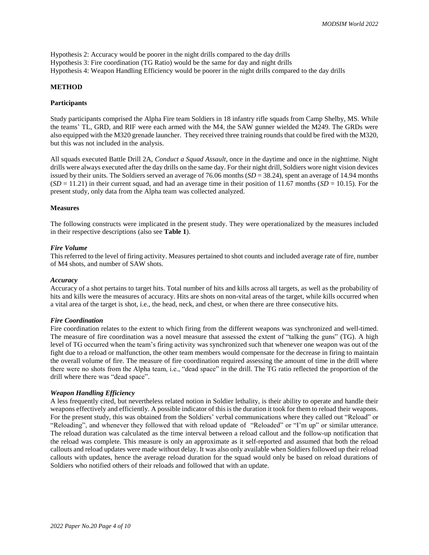Hypothesis 2: Accuracy would be poorer in the night drills compared to the day drills Hypothesis 3: Fire coordination (TG Ratio) would be the same for day and night drills Hypothesis 4: Weapon Handling Efficiency would be poorer in the night drills compared to the day drills

## **METHOD**

#### **Participants**

Study participants comprised the Alpha Fire team Soldiers in 18 infantry rifle squads from Camp Shelby, MS. While the teams' TL, GRD, and RIF were each armed with the M4, the SAW gunner wielded the M249. The GRDs were also equipped with the M320 grenade launcher. They received three training rounds that could be fired with the M320, but this was not included in the analysis.

All squads executed Battle Drill 2A, *Conduct a Squad Assault*, once in the daytime and once in the nighttime. Night drills were always executed after the day drills on the same day. For their night drill, Soldiers wore night vision devices issued by their units. The Soldiers served an average of 76.06 months (*SD* = 38.24), spent an average of 14.94 months  $(SD = 11.21)$  in their current squad, and had an average time in their position of 11.67 months  $(SD = 10.15)$ . For the present study, only data from the Alpha team was collected analyzed.

## **Measures**

The following constructs were implicated in the present study. They were operationalized by the measures included in their respective descriptions (also see **[Table 1](#page-4-0)**).

#### *Fire Volume*

This referred to the level of firing activity. Measures pertained to shot counts and included average rate of fire, number of M4 shots, and number of SAW shots.

#### *Accuracy*

Accuracy of a shot pertains to target hits. Total number of hits and kills across all targets, as well as the probability of hits and kills were the measures of accuracy. Hits are shots on non-vital areas of the target, while kills occurred when a vital area of the target is shot, i.e., the head, neck, and chest, or when there are three consecutive hits.

#### *Fire Coordination*

Fire coordination relates to the extent to which firing from the different weapons was synchronized and well-timed. The measure of fire coordination was a novel measure that assessed the extent of "talking the guns" (TG). A high level of TG occurred when the team's firing activity was synchronized such that whenever one weapon was out of the fight due to a reload or malfunction, the other team members would compensate for the decrease in firing to maintain the overall volume of fire. The measure of fire coordination required assessing the amount of time in the drill where there were no shots from the Alpha team, i.e., "dead space" in the drill. The TG ratio reflected the proportion of the drill where there was "dead space".

## *Weapon Handling Efficiency*

A less frequently cited, but nevertheless related notion in Soldier lethality, is their ability to operate and handle their weapons effectively and efficiently. A possible indicator of this is the duration it took for them to reload their weapons. For the present study, this was obtained from the Soldiers' verbal communications where they called out "Reload" or "Reloading", and whenever they followed that with reload update of "Reloaded" or "I'm up" or similar utterance. The reload duration was calculated as the time interval between a reload callout and the follow-up notification that the reload was complete. This measure is only an approximate as it self-reported and assumed that both the reload callouts and reload updates were made without delay. It was also only available when Soldiers followed up their reload callouts with updates, hence the average reload duration for the squad would only be based on reload durations of Soldiers who notified others of their reloads and followed that with an update.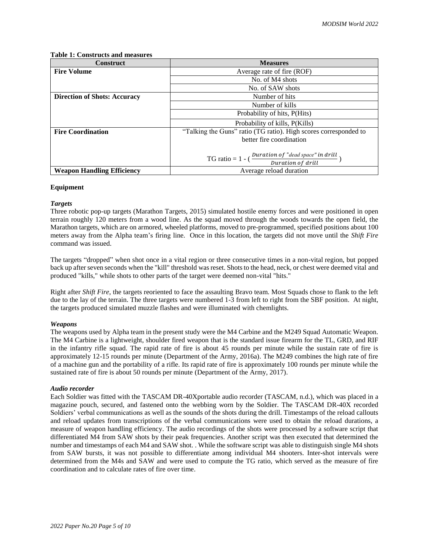## <span id="page-4-0"></span>**Table 1: Constructs and measures**

| <b>Construct</b>                    | <b>Measures</b>                                                                              |  |  |
|-------------------------------------|----------------------------------------------------------------------------------------------|--|--|
| <b>Fire Volume</b>                  | Average rate of fire (ROF)                                                                   |  |  |
|                                     | No. of M4 shots                                                                              |  |  |
|                                     | No. of SAW shots                                                                             |  |  |
| <b>Direction of Shots: Accuracy</b> | Number of hits                                                                               |  |  |
|                                     | Number of kills                                                                              |  |  |
|                                     | Probability of hits, P(Hits)                                                                 |  |  |
|                                     | Probability of kills, P(Kills)                                                               |  |  |
| <b>Fire Coordination</b>            | "Talking the Guns" ratio (TG ratio). High scores corresponded to                             |  |  |
|                                     | better fire coordination                                                                     |  |  |
|                                     |                                                                                              |  |  |
|                                     | TG ratio = $1 - (\frac{Duration \ of \ "dead \ space" \ in \ drill}{Duration \ of \ drill})$ |  |  |
|                                     |                                                                                              |  |  |
| <b>Weapon Handling Efficiency</b>   | Average reload duration                                                                      |  |  |

## **Equipment**

## *Targets*

Three robotic pop-up targets (Marathon Targets, 2015) simulated hostile enemy forces and were positioned in open terrain roughly 120 meters from a wood line. As the squad moved through the woods towards the open field, the Marathon targets, which are on armored, wheeled platforms, moved to pre-programmed, specified positions about 100 meters away from the Alpha team's firing line. Once in this location, the targets did not move until the *Shift Fire* command was issued.

The targets "dropped" when shot once in a vital region or three consecutive times in a non-vital region, but popped back up after seven seconds when the "kill" threshold was reset. Shotsto the head, neck, or chest were deemed vital and produced "kills," while shots to other parts of the target were deemed non-vital "hits."

Right after *Shift Fire*, the targets reoriented to face the assaulting Bravo team. Most Squads chose to flank to the left due to the lay of the terrain. The three targets were numbered 1-3 from left to right from the SBF position. At night, the targets produced simulated muzzle flashes and were illuminated with chemlights.

## *Weapons*

The weapons used by Alpha team in the present study were the M4 Carbine and the M249 Squad Automatic Weapon. The M4 Carbine is a lightweight, shoulder fired weapon that is the standard issue firearm for the TL, GRD, and RIF in the infantry rifle squad. The rapid rate of fire is about 45 rounds per minute while the sustain rate of fire is approximately 12-15 rounds per minute (Department of the Army, 2016a). The M249 combines the high rate of fire of a machine gun and the portability of a rifle. Its rapid rate of fire is approximately 100 rounds per minute while the sustained rate of fire is about 50 rounds per minute (Department of the Army, 2017).

## *Audio recorder*

Each Soldier was fitted with the TASCAM DR-40Xportable audio recorder (TASCAM, n.d.), which was placed in a magazine pouch, secured, and fastened onto the webbing worn by the Soldier. The TASCAM DR-40X recorded Soldiers' verbal communications as well as the sounds of the shots during the drill. Timestamps of the reload callouts and reload updates from transcriptions of the verbal communications were used to obtain the reload durations, a measure of weapon handling efficiency. The audio recordings of the shots were processed by a software script that differentiated M4 from SAW shots by their peak frequencies. Another script was then executed that determined the number and timestamps of each M4 and SAW shot. . While the software script was able to distinguish single M4 shots from SAW bursts, it was not possible to differentiate among individual M4 shooters. Inter-shot intervals were determined from the M4s and SAW and were used to compute the TG ratio, which served as the measure of fire coordination and to calculate rates of fire over time.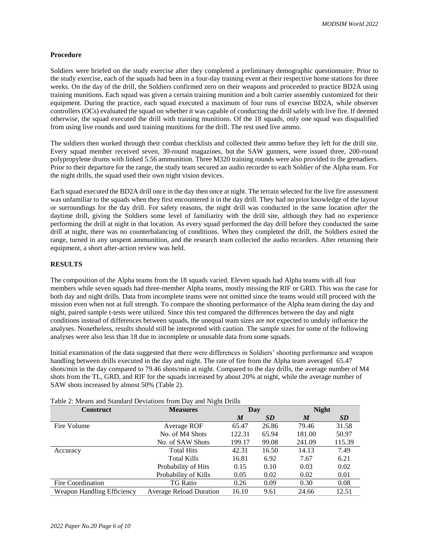## **Procedure**

Soldiers were briefed on the study exercise after they completed a preliminary demographic questionnaire. Prior to the study exercise, each of the squads had been in a four-day training event at their respective home stations for three weeks. On the day of the drill, the Soldiers confirmed zero on their weapons and proceeded to practice BD2A using training munitions. Each squad was given a certain training munition and a bolt carrier assembly customized for their equipment. During the practice, each squad executed a maximum of four runs of exercise BD2A, while observer controllers (OCs) evaluated the squad on whether it was capable of conducting the drill safely with live fire. If deemed otherwise, the squad executed the drill with training munitions. Of the 18 squads, only one squad was disqualified from using live rounds and used training munitions for the drill. The rest used live ammo.

The soldiers then worked through their combat checklists and collected their ammo before they left for the drill site. Every squad member received seven, 30-round magazines, but the SAW gunners, were issued three, 200-round polypropylene drums with linked 5.56 ammunition. Three M320 training rounds were also provided to the grenadiers. Prior to their departure for the range, the study team secured an audio recorder to each Soldier of the Alpha team. For the night drills, the squad used their own night vision devices.

Each squad executed the BD2A drill once in the day then once at night. The terrain selected for the live fire assessment was unfamiliar to the squads when they first encountered it in the day drill. They had no prior knowledge of the layout or surroundings for the day drill. For safety reasons, the night drill was conducted in the same location *after* the daytime drill, giving the Soldiers some level of familiarity with the drill site, although they had no experience performing the drill at night in that location. As every squad performed the day drill before they conducted the same drill at night, there was no counterbalancing of conditions. When they completed the drill, the Soldiers exited the range, turned in any unspent ammunition, and the research team collected the audio recorders. After returning their equipment, a short after-action review was held.

## **RESULTS**

The composition of the Alpha teams from the 18 squads varied. Eleven squads had Alpha teams with all four members while seven squads had three-member Alpha teams, mostly missing the RIF or GRD. This was the case for both day and night drills. Data from incomplete teams were not omitted since the teams would still proceed with the mission even when not at full strength. To compare the shooting performance of the Alpha team during the day and night, paired sample t-tests were utilized. Since this test compared the differences between the day and night conditions instead of differences between squads, the unequal team sizes are not expected to unduly influence the analyses. Nonetheless, results should still be interpreted with caution. The sample sizes for some of the following analyses were also less than 18 due to incomplete or unusable data from some squads.

Initial examination of the data suggested that there were differences in Soldiers' shooting performance and weapon handling between drills executed in the day and night. The rate of fire from the Alpha team averaged 65.47 shots/min in the day compared to 79.46 shots/min at night. Compared to the day drills, the average number of M4 shots from the TL, GRD, and RIF for the squads increased by about 20% at night, while the average number of SAW shots increased by almost 50% (Table 2).

| <b>Construct</b>                  | <b>Measures</b>                | Day              |           | <b>Night</b> |           |
|-----------------------------------|--------------------------------|------------------|-----------|--------------|-----------|
|                                   |                                | $\boldsymbol{M}$ | <b>SD</b> | M            | <b>SD</b> |
| Fire Volume                       | Average ROF                    | 65.47            | 26.86     | 79.46        | 31.58     |
|                                   | No. of M4 Shots                | 122.31           | 65.94     | 181.00       | 50.97     |
|                                   | No. of SAW Shots               | 199.17           | 99.08     | 241.09       | 115.39    |
| Accuracy                          | <b>Total Hits</b>              | 42.31            | 16.50     | 14.13        | 7.49      |
|                                   | Total Kills                    | 16.81            | 6.92      | 7.67         | 6.21      |
|                                   | Probability of Hits            | 0.15             | 0.10      | 0.03         | 0.02      |
|                                   | Probability of Kills           | 0.05             | 0.02      | 0.02         | 0.01      |
| Fire Coordination                 | <b>TG Ratio</b>                | 0.26             | 0.09      | 0.30         | 0.08      |
| <b>Weapon Handling Efficiency</b> | <b>Average Reload Duration</b> | 16.10            | 9.61      | 24.66        | 12.51     |

Table 2: Means and Standard Deviations from Day and Night Drills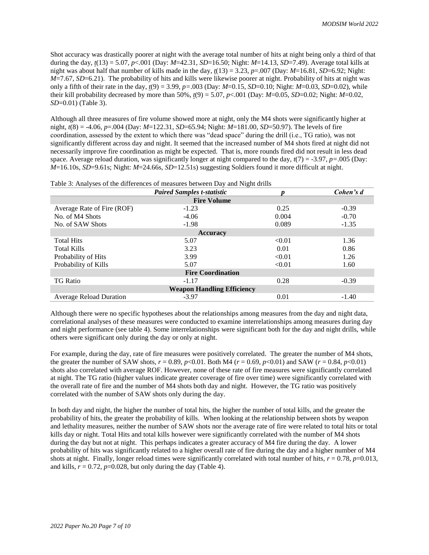Shot accuracy was drastically poorer at night with the average total number of hits at night being only a third of that during the day,  $t(13) = 5.07$ ,  $p < 0.01$  (Day:  $M=42.31$ ,  $SD=16.50$ ; Night:  $M=14.13$ ,  $SD=7.49$ ). Average total kills at night was about half that number of kills made in the day,  $t(13) = 3.23$ ,  $p=.007$  (Day:  $M=16.81$ ,  $SD=6.92$ ; Night: *M*=7.67, *SD*=6.21). The probability of hits and kills were likewise poorer at night. Probability of hits at night was only a fifth of their rate in the day,  $t(9) = 3.99$ ,  $p = .003$  (Day:  $M=0.15$ , SD=0.10; Night:  $M=0.03$ , SD=0.02), while their kill probability decreased by more than 50%, *t*(9) = 5.07, *p*<.001 (Day: *M*=0.05, *SD*=0.02; Night: *M*=0.02, *SD*=0.01) (Table 3).

Although all three measures of fire volume showed more at night, only the M4 shots were significantly higher at night, *t*(8) = -4.06, *p*=.004 (Day: *M*=122.31, *SD*=65.94; Night: *M*=181.00, *SD*=50.97). The levels of fire coordination, assessed by the extent to which there was "dead space" during the drill (i.e., TG ratio), was not significantly different across day and night. It seemed that the increased number of M4 shots fired at night did not necessarily improve fire coordination as might be expected. That is, more rounds fired did not result in less dead space. Average reload duration, was significantly longer at night compared to the day, *t*(7) = -3.97, *p=*.005 (Day: *M*=16.10s, *SD*=9.61s; Night: *M*=24.66s, *SD*=12.51s) suggesting Soldiers found it more difficult at night.

|                                   | <b>Paired Samples t-statistic</b> | $\circ$<br>Ŋ | Cohen's d |  |  |
|-----------------------------------|-----------------------------------|--------------|-----------|--|--|
| <b>Fire Volume</b>                |                                   |              |           |  |  |
| Average Rate of Fire (ROF)        | $-1.23$                           | 0.25         | $-0.39$   |  |  |
| No. of M4 Shots                   | $-4.06$                           | 0.004        | $-0.70$   |  |  |
| No. of SAW Shots                  | $-1.98$                           | 0.089        | $-1.35$   |  |  |
| <b>Accuracy</b>                   |                                   |              |           |  |  |
| <b>Total Hits</b>                 | 5.07                              | < 0.01       | 1.36      |  |  |
| <b>Total Kills</b>                | 3.23                              | 0.01         | 0.86      |  |  |
| Probability of Hits               | 3.99                              | < 0.01       | 1.26      |  |  |
| Probability of Kills              | 5.07                              | < 0.01       | 1.60      |  |  |
| <b>Fire Coordination</b>          |                                   |              |           |  |  |
| <b>TG Ratio</b>                   | $-1.17$                           | 0.28         | $-0.39$   |  |  |
| <b>Weapon Handling Efficiency</b> |                                   |              |           |  |  |
| <b>Average Reload Duration</b>    | $-3.97$                           | 0.01         | $-1.40$   |  |  |

Table 3: Analyses of the differences of measures between Day and Night drills

Although there were no specific hypotheses about the relationships among measures from the day and night data, correlational analyses of these measures were conducted to examine interrelationships among measures during day and night performance (see table 4). Some interrelationships were significant both for the day and night drills, while others were significant only during the day or only at night.

For example, during the day, rate of fire measures were positively correlated. The greater the number of M4 shots, the greater the number of SAW shots,  $r = 0.89$ ,  $p < 0.01$ . Both M4 ( $r = 0.69$ ,  $p < 0.01$ ) and SAW ( $r = 0.84$ ,  $p < 0.01$ ) shots also correlated with average ROF. However, none of these rate of fire measures were significantly correlated at night. The TG ratio (higher values indicate greater coverage of fire over time) were significantly correlated with the overall rate of fire and the number of M4 shots both day and night. However, the TG ratio was positively correlated with the number of SAW shots only during the day.

In both day and night, the higher the number of total hits, the higher the number of total kills, and the greater the probability of hits, the greater the probability of kills. When looking at the relationship between shots by weapon and lethality measures, neither the number of SAW shots nor the average rate of fire were related to total hits or total kills day or night. Total Hits and total kills however were significantly correlated with the number of M4 shots during the day but not at night. This perhaps indicates a greater accuracy of M4 fire during the day. A lower probability of hits was significantly related to a higher overall rate of fire during the day and a higher number of M4 shots at night. Finally, longer reload times were significantly correlated with total number of hits,  $r = 0.78$ ,  $p=0.013$ , and kills,  $r = 0.72$ ,  $p=0.028$ , but only during the day (Table 4).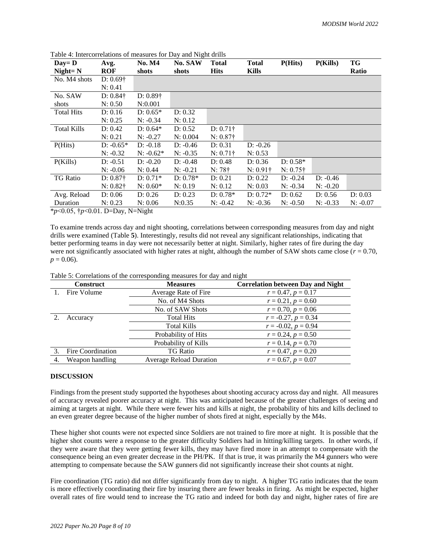| $Day = D$          | Avg.             | <b>No. M4</b>    | No. SAW    | <b>Total</b>     | <b>Total</b>     | P(Hits)          | P(Kills)   | TG         |
|--------------------|------------------|------------------|------------|------------------|------------------|------------------|------------|------------|
| $Night = N$        | <b>ROF</b>       | shots            | shots      | <b>Hits</b>      | <b>Kills</b>     |                  |            | Ratio      |
| No. M4 shots       | $D: 0.69\dagger$ |                  |            |                  |                  |                  |            |            |
|                    | N: 0.41          |                  |            |                  |                  |                  |            |            |
| No. SAW            | $D: 0.84\dagger$ | $D: 0.89\dagger$ |            |                  |                  |                  |            |            |
| shots              | N: 0.50          | N:0.001          |            |                  |                  |                  |            |            |
| <b>Total Hits</b>  | D: 0.16          | $D: 0.65*$       | D: 0.32    |                  |                  |                  |            |            |
|                    | N: 0.25          | $N: -0.34$       | N: 0.12    |                  |                  |                  |            |            |
| <b>Total Kills</b> | D: 0.42          | $D: 0.64*$       | D: 0.52    | $D: 0.71\dagger$ |                  |                  |            |            |
|                    | N: 0.21          | $N: -0.27$       | N: 0.004   | $N: 0.87\dagger$ |                  |                  |            |            |
| P(Hits)            | $D: -0.65*$      | $D: -0.18$       | $D: -0.46$ | D: 0.31          | $D: -0.26$       |                  |            |            |
|                    | $N: -0.32$       | $N: -0.62*$      | $N: -0.35$ | $N: 0.71\dagger$ | N: 0.53          |                  |            |            |
| P(Kills)           | $D: -0.51$       | $D: -0.20$       | $D: -0.48$ | D: 0.48          | D: 0.36          | $D: 0.58*$       |            |            |
|                    | $N: -0.06$       | N: 0.44          | $N: -0.21$ | $N: 78\dagger$   | $N: 0.91\dagger$ | $N: 0.75\dagger$ |            |            |
| <b>TG</b> Ratio    | $D: 0.87\dagger$ | $D: 0.71*$       | $D: 0.78*$ | D: 0.21          | D: 0.22          | $D: -0.24$       | $D: -0.46$ |            |
|                    | $N: 0.82\dagger$ | $N: 0.60*$       | N: 0.19    | N: 0.12          | N: 0.03          | $N: -0.34$       | $N: -0.20$ |            |
| Avg. Reload        | D: 0.06          | D: 0.26          | D: 0.23    | $D: 0.78*$       | $D: 0.72*$       | D: 0.62          | D: 0.56    | D: 0.03    |
| Duration           | N: 0.23          | N: 0.06          | N:0.35     | $N: -0.42$       | $N: -0.36$       | $N: -0.50$       | $N: -0.33$ | $N: -0.07$ |

Table 4: Intercorrelations of measures for Day and Night drills

\**p*<0.05, †*p*<0.01. D=Day, N=Night

To examine trends across day and night shooting, correlations between corresponding measures from day and night drills were examined [\(Table](#page-7-0) **5**). Interestingly, results did not reveal any significant relationships, indicating that better performing teams in day were not necessarily better at night. Similarly, higher rates of fire during the day were not significantly associated with higher rates at night, although the number of SAW shots came close ( $r = 0.70$ ,  $p = 0.06$ .

|    | <b>Construct</b>         | <b>Measures</b>                | <b>Correlation between Day and Night</b> |
|----|--------------------------|--------------------------------|------------------------------------------|
|    | Fire Volume              | Average Rate of Fire           | $r = 0.47, p = 0.17$                     |
|    |                          | No. of M4 Shots                | $r = 0.21, p = 0.60$                     |
|    |                          | No. of SAW Shots               | $r = 0.70, p = 0.06$                     |
| 2. | Accuracy                 | <b>Total Hits</b>              | $r = -0.27, p = 0.34$                    |
|    |                          | Total Kills                    | $r = -0.02, p = 0.94$                    |
|    |                          | Probability of Hits            | $r = 0.24, p = 0.50$                     |
|    |                          | Probability of Kills           | $r = 0.14, p = 0.70$                     |
| 3. | <b>Fire Coordination</b> | <b>TG Ratio</b>                | $r = 0.47, p = 0.20$                     |
| 4. | Weapon handling          | <b>Average Reload Duration</b> | $r = 0.67, p = 0.07$                     |

<span id="page-7-0"></span>Table 5: Correlations of the corresponding measures for day and night

## **DISCUSSION**

Findings from the present study supported the hypotheses about shooting accuracy across day and night. All measures of accuracy revealed poorer accuracy at night. This was anticipated because of the greater challenges of seeing and aiming at targets at night. While there were fewer hits and kills at night, the probability of hits and kills declined to an even greater degree because of the higher number of shots fired at night, especially by the M4s.

These higher shot counts were not expected since Soldiers are not trained to fire more at night. It is possible that the higher shot counts were a response to the greater difficulty Soldiers had in hitting/killing targets. In other words, if they were aware that they were getting fewer kills, they may have fired more in an attempt to compensate with the consequence being an even greater decrease in the PH/PK. If that is true, it was primarily the M4 gunners who were attempting to compensate because the SAW gunners did not significantly increase their shot counts at night.

Fire coordination (TG ratio) did not differ significantly from day to night. A higher TG ratio indicates that the team is more effectively coordinating their fire by insuring there are fewer breaks in firing. As might be expected, higher overall rates of fire would tend to increase the TG ratio and indeed for both day and night, higher rates of fire are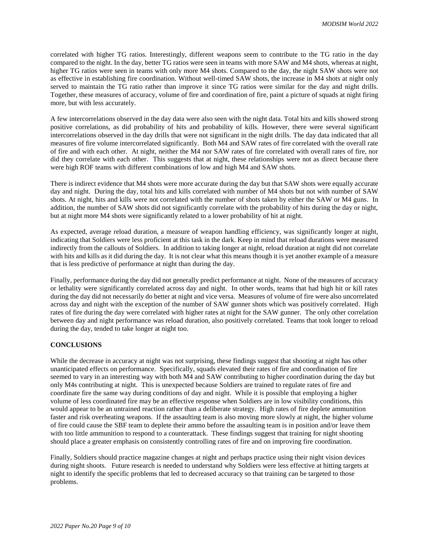correlated with higher TG ratios. Interestingly, different weapons seem to contribute to the TG ratio in the day compared to the night. In the day, better TG ratios were seen in teams with more SAW and M4 shots, whereas at night, higher TG ratios were seen in teams with only more M4 shots. Compared to the day, the night SAW shots were not as effective in establishing fire coordination. Without well-timed SAW shots, the increase in M4 shots at night only served to maintain the TG ratio rather than improve it since TG ratios were similar for the day and night drills. Together, these measures of accuracy, volume of fire and coordination of fire, paint a picture of squads at night firing more, but with less accurately.

A few intercorrelations observed in the day data were also seen with the night data. Total hits and kills showed strong positive correlations, as did probability of hits and probability of kills. However, there were several significant intercorrelations observed in the day drills that were not significant in the night drills. The day data indicated that all measures of fire volume intercorrelated significantly. Both M4 and SAW rates of fire correlated with the overall rate of fire and with each other. At night, neither the M4 nor SAW rates of fire correlated with overall rates of fire, nor did they correlate with each other. This suggests that at night, these relationships were not as direct because there were high ROF teams with different combinations of low and high M4 and SAW shots.

There is indirect evidence that M4 shots were more accurate during the day but that SAW shots were equally accurate day and night. During the day, total hits and kills correlated with number of M4 shots but not with number of SAW shots. At night, hits and kills were not correlated with the number of shots taken by either the SAW or M4 guns. In addition, the number of SAW shots did not significantly correlate with the probability of hits during the day or night, but at night more M4 shots were significantly related to a lower probability of hit at night.

As expected, average reload duration, a measure of weapon handling efficiency, was significantly longer at night, indicating that Soldiers were less proficient at this task in the dark. Keep in mind that reload durations were measured indirectly from the callouts of Soldiers. In addition to taking longer at night, reload duration at night did not correlate with hits and kills as it did during the day. It is not clear what this means though it is yet another example of a measure that is less predictive of performance at night than during the day.

Finally, performance during the day did not generally predict performance at night. None of the measures of accuracy or lethality were significantly correlated across day and night. In other words, teams that had high hit or kill rates during the day did not necessarily do better at night and vice versa. Measures of volume of fire were also uncorrelated across day and night with the exception of the number of SAW gunner shots which was positively correlated. High rates of fire during the day were correlated with higher rates at night for the SAW gunner. The only other correlation between day and night performance was reload duration, also positively correlated. Teams that took longer to reload during the day, tended to take longer at night too.

## **CONCLUSIONS**

While the decrease in accuracy at night was not surprising, these findings suggest that shooting at night has other unanticipated effects on performance. Specifically, squads elevated their rates of fire and coordination of fire seemed to vary in an interesting way with both M4 and SAW contributing to higher coordination during the day but only M4s contributing at night. This is unexpected because Soldiers are trained to regulate rates of fire and coordinate fire the same way during conditions of day and night. While it is possible that employing a higher volume of less coordinated fire may be an effective response when Soldiers are in low visibility conditions, this would appear to be an untrained reaction rather than a deliberate strategy. High rates of fire deplete ammunition faster and risk overheating weapons. If the assaulting team is also moving more slowly at night, the higher volume of fire could cause the SBF team to deplete their ammo before the assaulting team is in position and/or leave them with too little ammunition to respond to a counterattack. These findings suggest that training for night shooting should place a greater emphasis on consistently controlling rates of fire and on improving fire coordination.

Finally, Soldiers should practice magazine changes at night and perhaps practice using their night vision devices during night shoots. Future research is needed to understand why Soldiers were less effective at hitting targets at night to identify the specific problems that led to decreased accuracy so that training can be targeted to those problems.